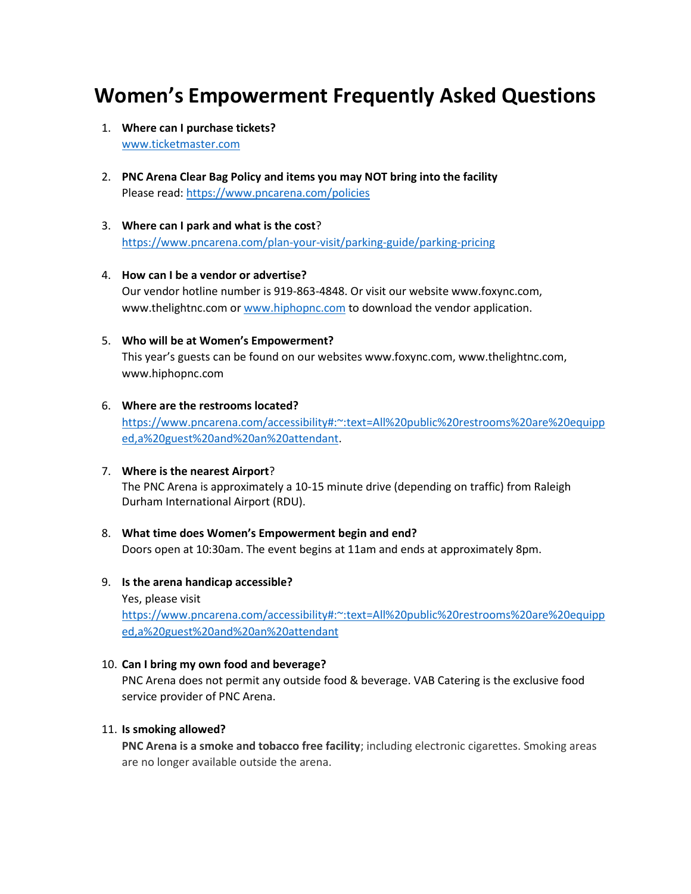# **Women's Empowerment Frequently Asked Questions**

- 1. **Where can I purchase tickets?** [www.ticketmaster.com](http://www.ticketmaster.com/)
- 2. **PNC Arena Clear Bag Policy and items you may NOT bring into the facility** Please read:<https://www.pncarena.com/policies>
- 3. **Where can I park and what is the cost**? <https://www.pncarena.com/plan-your-visit/parking-guide/parking-pricing>
- 4. **How can I be a vendor or advertise?**  Our vendor hotline number is 919-863-4848. Or visit our website www.foxync.com, www.thelightnc.com or [www.hiphopnc.com](http://www.hiphopnc.com/) to download the vendor application.
- 5. **Who will be at Women's Empowerment?** This year's guests can be found on our websites www.foxync.com, www.thelightnc.com, www.hiphopnc.com
- 6. **Where are the restrooms located?**  [https://www.pncarena.com/accessibility#:~:text=All%20public%20restrooms%20are%20equipp](https://www.pncarena.com/accessibility#:~:text=All%20public%20restrooms%20are%20equipped,a%20guest%20and%20an%20attendant) [ed,a%20guest%20and%20an%20attendant.](https://www.pncarena.com/accessibility#:~:text=All%20public%20restrooms%20are%20equipped,a%20guest%20and%20an%20attendant)

# 7. **Where is the nearest Airport**? The PNC Arena is approximately a 10-15 minute drive (depending on traffic) from Raleigh Durham International Airport (RDU).

- 8. **What time does Women's Empowerment begin and end?** Doors open at 10:30am. The event begins at 11am and ends at approximately 8pm.
- 9. **Is the arena handicap accessible?**
	- Yes, please visit [https://www.pncarena.com/accessibility#:~:text=All%20public%20restrooms%20are%20equipp](https://www.pncarena.com/accessibility#:~:text=All%20public%20restrooms%20are%20equipped,a%20guest%20and%20an%20attendant) [ed,a%20guest%20and%20an%20attendant](https://www.pncarena.com/accessibility#:~:text=All%20public%20restrooms%20are%20equipped,a%20guest%20and%20an%20attendant)

#### 10. **Can I bring my own food and beverage?**

PNC Arena does not permit any outside food & beverage. VAB Catering is the exclusive food service provider of PNC Arena.

#### 11. **Is smoking allowed?**

**PNC Arena is a smoke and tobacco free facility**; including electronic cigarettes. Smoking areas are no longer available outside the arena.